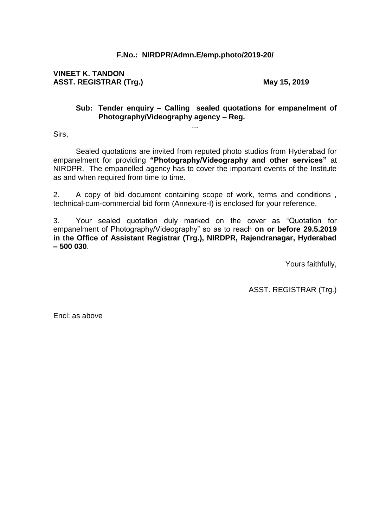# **F.No.: NIRDPR/Admn.E/emp.photo/2019-20/**

**VINEET K. TANDON ASST. REGISTRAR (Trg.)** May 15, 2019

#### **Sub: Tender enquiry – Calling sealed quotations for empanelment of Photography/Videography agency – Reg.**

Sirs,

Sealed quotations are invited from reputed photo studios from Hyderabad for empanelment for providing **"Photography/Videography and other services"** at NIRDPR. The empanelled agency has to cover the important events of the Institute as and when required from time to time.

...

2. A copy of bid document containing scope of work, terms and conditions , technical-cum-commercial bid form (Annexure-I) is enclosed for your reference.

3. Your sealed quotation duly marked on the cover as "Quotation for empanelment of Photography/Videography" so as to reach **on or before 29.5.2019 in the Office of Assistant Registrar (Trg.), NIRDPR, Rajendranagar, Hyderabad – 500 030**.

Yours faithfully,

ASST. REGISTRAR (Trg.)

Encl: as above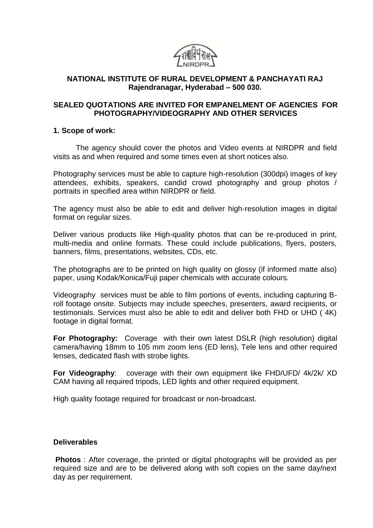

# **NATIONAL INSTITUTE OF RURAL DEVELOPMENT & PANCHAYATI RAJ Rajendranagar, Hyderabad – 500 030.**

## **SEALED QUOTATIONS ARE INVITED FOR EMPANELMENT OF AGENCIES FOR PHOTOGRAPHY/VIDEOGRAPHY AND OTHER SERVICES**

#### **1. Scope of work:**

The agency should cover the photos and Video events at NIRDPR and field visits as and when required and some times even at short notices also.

Photography services must be able to capture high-resolution (300dpi) images of key attendees, exhibits, speakers, candid crowd photography and group photos / portraits in specified area within NIRDPR or field.

The agency must also be able to edit and deliver high-resolution images in digital format on regular sizes.

Deliver various products like High-quality photos that can be re-produced in print, multi-media and online formats. These could include publications, flyers, posters, banners, films, presentations, websites, CDs, etc.

The photographs are to be printed on high quality on glossy (if informed matte also) paper, using Kodak/Konica/Fuji paper chemicals with accurate colours.

Videography services must be able to film portions of events, including capturing Broll footage onsite. Subjects may include speeches, presenters, award recipients, or testimonials. Services must also be able to edit and deliver both FHD or UHD ( 4K) footage in digital format.

**For Photography:** Coverage with their own latest DSLR (high resolution) digital camera/having 18mm to 105 mm zoom lens (ED lens), Tele lens and other required lenses, dedicated flash with strobe lights.

**For Videography**: coverage with their own equipment like FHD/UFD/ 4k/2k/ XD CAM having all required tripods, LED lights and other required equipment.

High quality footage required for broadcast or non-broadcast.

#### **Deliverables**

**Photos** : After coverage, the printed or digital photographs will be provided as per required size and are to be delivered along with soft copies on the same day/next day as per requirement.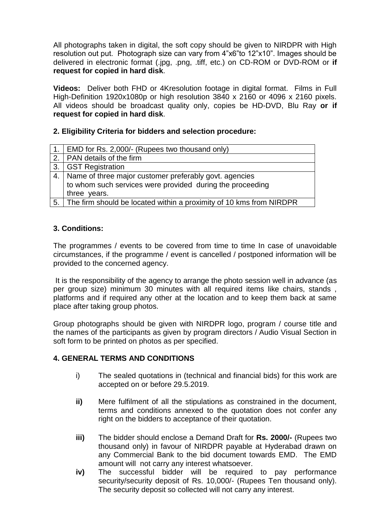All photographs taken in digital, the soft copy should be given to NIRDPR with High resolution out put. Photograph size can vary from 4"x6"to 12"x10". Images should be delivered in electronic format (.jpg, .png, .tiff, etc.) on CD-ROM or DVD-ROM or **if request for copied in hard disk**.

**Videos:** Deliver both FHD or 4Kresolution footage in digital format. Films in Full High-Definition 1920x1080p or high resolution 3840 x 2160 or 4096 x 2160 pixels. All videos should be broadcast quality only, copies be HD-DVD, Blu Ray **or if request for copied in hard disk**.

## **2. Eligibility Criteria for bidders and selection procedure:**

| 1.   EMD for Rs. 2,000/- (Rupees two thousand only)                    |
|------------------------------------------------------------------------|
| 2.   PAN details of the firm                                           |
| 3. GST Registration                                                    |
| 4. Name of three major customer preferably govt. agencies              |
| to whom such services were provided during the proceeding              |
| three years.                                                           |
| 5. The firm should be located within a proximity of 10 kms from NIRDPR |

# **3. Conditions:**

The programmes / events to be covered from time to time In case of unavoidable circumstances, if the programme / event is cancelled / postponed information will be provided to the concerned agency.

It is the responsibility of the agency to arrange the photo session well in advance (as per group size) minimum 30 minutes with all required items like chairs, stands , platforms and if required any other at the location and to keep them back at same place after taking group photos.

Group photographs should be given with NIRDPR logo, program / course title and the names of the participants as given by program directors / Audio Visual Section in soft form to be printed on photos as per specified.

## **4. GENERAL TERMS AND CONDITIONS**

- i) The sealed quotations in (technical and financial bids) for this work are accepted on or before 29.5.2019.
- **ii)** Mere fulfilment of all the stipulations as constrained in the document, terms and conditions annexed to the quotation does not confer any right on the bidders to acceptance of their quotation.
- **iii)** The bidder should enclose a Demand Draft for **Rs. 2000/-** (Rupees two thousand only) in favour of NIRDPR payable at Hyderabad drawn on any Commercial Bank to the bid document towards EMD. The EMD amount will not carry any interest whatsoever.
- **iv)** The successful bidder will be required to pay performance security/security deposit of Rs. 10,000/- (Rupees Ten thousand only). The security deposit so collected will not carry any interest.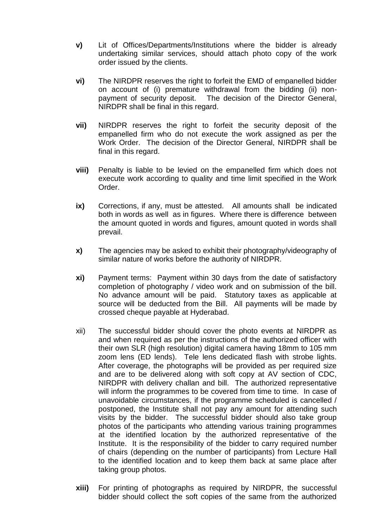- **v)** Lit of Offices/Departments/Institutions where the bidder is already undertaking similar services, should attach photo copy of the work order issued by the clients.
- **vi)** The NIRDPR reserves the right to forfeit the EMD of empanelled bidder on account of (i) premature withdrawal from the bidding (ii) nonpayment of security deposit. The decision of the Director General, NIRDPR shall be final in this regard.
- **vii)** NIRDPR reserves the right to forfeit the security deposit of the empanelled firm who do not execute the work assigned as per the Work Order. The decision of the Director General, NIRDPR shall be final in this regard.
- **viii)** Penalty is liable to be levied on the empanelled firm which does not execute work according to quality and time limit specified in the Work Order.
- **ix)** Corrections, if any, must be attested. All amounts shall be indicated both in words as well as in figures. Where there is difference between the amount quoted in words and figures, amount quoted in words shall prevail.
- **x)** The agencies may be asked to exhibit their photography/videography of similar nature of works before the authority of NIRDPR.
- **xi)** Payment terms: Payment within 30 days from the date of satisfactory completion of photography / video work and on submission of the bill. No advance amount will be paid. Statutory taxes as applicable at source will be deducted from the Bill. All payments will be made by crossed cheque payable at Hyderabad.
- xii) The successful bidder should cover the photo events at NIRDPR as and when required as per the instructions of the authorized officer with their own SLR (high resolution) digital camera having 18mm to 105 mm zoom lens (ED lends). Tele lens dedicated flash with strobe lights. After coverage, the photographs will be provided as per required size and are to be delivered along with soft copy at AV section of CDC, NIRDPR with delivery challan and bill. The authorized representative will inform the programmes to be covered from time to time. In case of unavoidable circumstances, if the programme scheduled is cancelled / postponed, the Institute shall not pay any amount for attending such visits by the bidder. The successful bidder should also take group photos of the participants who attending various training programmes at the identified location by the authorized representative of the Institute. It is the responsibility of the bidder to carry required number of chairs (depending on the number of participants) from Lecture Hall to the identified location and to keep them back at same place after taking group photos.
- **xiii)** For printing of photographs as required by NIRDPR, the successful bidder should collect the soft copies of the same from the authorized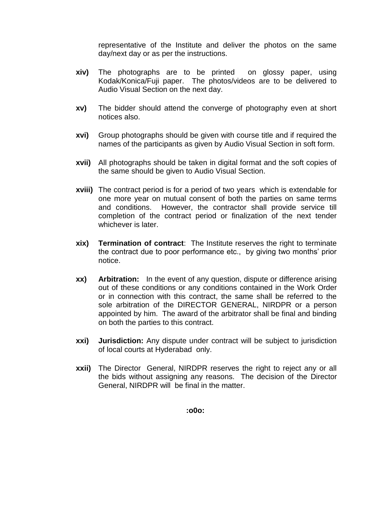representative of the Institute and deliver the photos on the same day/next day or as per the instructions.

- **xiv)** The photographs are to be printed on glossy paper, using Kodak/Konica/Fuji paper. The photos/videos are to be delivered to Audio Visual Section on the next day.
- **xv)** The bidder should attend the converge of photography even at short notices also.
- **xvi)** Group photographs should be given with course title and if required the names of the participants as given by Audio Visual Section in soft form.
- **xvii)** All photographs should be taken in digital format and the soft copies of the same should be given to Audio Visual Section.
- **xviii)** The contract period is for a period of two years which is extendable for one more year on mutual consent of both the parties on same terms and conditions. However, the contractor shall provide service till completion of the contract period or finalization of the next tender whichever is later.
- **xix) Termination of contract**: The Institute reserves the right to terminate the contract due to poor performance etc., by giving two months' prior notice.
- **xx) Arbitration:** In the event of any question, dispute or difference arising out of these conditions or any conditions contained in the Work Order or in connection with this contract, the same shall be referred to the sole arbitration of the DIRECTOR GENERAL, NIRDPR or a person appointed by him. The award of the arbitrator shall be final and binding on both the parties to this contract.
- **xxi) Jurisdiction:** Any dispute under contract will be subject to jurisdiction of local courts at Hyderabad only.
- **xxii)** The Director General, NIRDPR reserves the right to reject any or all the bids without assigning any reasons. The decision of the Director General, NIRDPR will be final in the matter.

**:o0o:**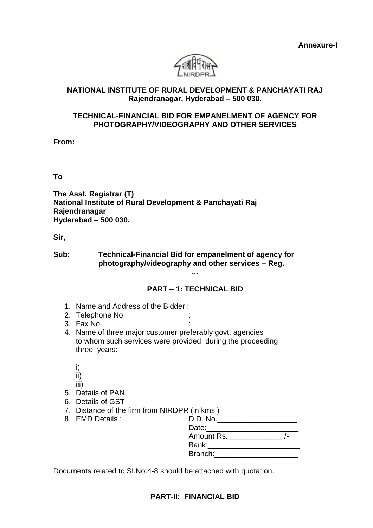**Annexure-I**



## **NATIONAL INSTITUTE OF RURAL DEVELOPMENT & PANCHAYATI RAJ Rajendranagar, Hyderabad – 500 030.**

## **TECHNICAL-FINANCIAL BID FOR EMPANELMENT OF AGENCY FOR PHOTOGRAPHY/VIDEOGRAPHY AND OTHER SERVICES**

**From:**

**To**

**The Asst. Registrar (T) National Institute of Rural Development & Panchayati Raj Rajendranagar Hyderabad – 500 030.**

**Sir,**

**Sub: Technical-Financial Bid for empanelment of agency for photography/videography and other services – Reg.**

## **PART – 1: TECHNICAL BID**

**...**

- 1. Name and Address of the Bidder :
- 2. Telephone No
- 3. Fax No :
- 4. Name of three major customer preferably govt. agencies to whom such services were provided during the proceeding three years:
	- i)
	- ii)
	- iii)
- 5. Details of PAN
- 6. Details of GST
- 7. Distance of the firm from NIRDPR (in kms.)
- 8. EMD Details :

| D.D. No.                   |  |
|----------------------------|--|
| Date:                      |  |
| Amount Rs. <u>________</u> |  |
| Bank: <b>Bank</b>          |  |
| Branch:                    |  |
|                            |  |

Documents related to Sl.No.4-8 should be attached with quotation.

## **PART-II: FINANCIAL BID**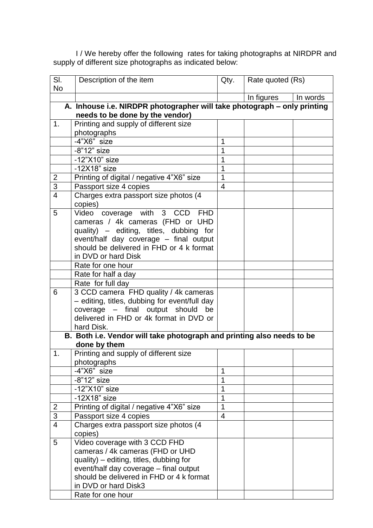I / We hereby offer the following rates for taking photographs at NIRDPR and supply of different size photographs as indicated below:

| SI.<br><b>No</b>                | Description of the item                                                              | Qty.           | Rate quoted (Rs) |          |  |  |  |  |
|---------------------------------|--------------------------------------------------------------------------------------|----------------|------------------|----------|--|--|--|--|
|                                 |                                                                                      |                | In figures       | In words |  |  |  |  |
|                                 | A. Inhouse i.e. NIRDPR photographer will take photograph - only printing             |                |                  |          |  |  |  |  |
| needs to be done by the vendor) |                                                                                      |                |                  |          |  |  |  |  |
| 1.                              | Printing and supply of different size                                                |                |                  |          |  |  |  |  |
|                                 | photographs                                                                          |                |                  |          |  |  |  |  |
|                                 | $-4"X6"$ size                                                                        | 1              |                  |          |  |  |  |  |
|                                 | $-8"12"$ size                                                                        | 1              |                  |          |  |  |  |  |
|                                 | $-12"X10"$ size                                                                      | 1              |                  |          |  |  |  |  |
|                                 | $-12X18"$ size                                                                       | 1              |                  |          |  |  |  |  |
| 2                               | Printing of digital / negative 4"X6" size                                            | $\mathbf 1$    |                  |          |  |  |  |  |
| $\overline{3}$                  | Passport size 4 copies                                                               | $\overline{4}$ |                  |          |  |  |  |  |
| $\overline{4}$                  | Charges extra passport size photos (4<br>copies)                                     |                |                  |          |  |  |  |  |
| 5                               | Video coverage with 3 CCD<br><b>FHD</b>                                              |                |                  |          |  |  |  |  |
|                                 | cameras / 4k cameras (FHD or UHD                                                     |                |                  |          |  |  |  |  |
|                                 | quality) - editing, titles, dubbing for                                              |                |                  |          |  |  |  |  |
|                                 | event/half day coverage - final output                                               |                |                  |          |  |  |  |  |
|                                 | should be delivered in FHD or 4 k format                                             |                |                  |          |  |  |  |  |
|                                 | in DVD or hard Disk                                                                  |                |                  |          |  |  |  |  |
|                                 | Rate for one hour                                                                    |                |                  |          |  |  |  |  |
|                                 | Rate for half a day                                                                  |                |                  |          |  |  |  |  |
|                                 | Rate for full day                                                                    |                |                  |          |  |  |  |  |
| 6                               | 3 CCD camera FHD quality / 4k cameras                                                |                |                  |          |  |  |  |  |
|                                 | - editing, titles, dubbing for event/full day                                        |                |                  |          |  |  |  |  |
|                                 | coverage - final output should be                                                    |                |                  |          |  |  |  |  |
|                                 | delivered in FHD or 4k format in DVD or                                              |                |                  |          |  |  |  |  |
|                                 | hard Disk.<br>B. Both i.e. Vendor will take photograph and printing also needs to be |                |                  |          |  |  |  |  |
|                                 | done by them                                                                         |                |                  |          |  |  |  |  |
| $\mathbf 1$                     | Printing and supply of different size                                                |                |                  |          |  |  |  |  |
|                                 | photographs                                                                          |                |                  |          |  |  |  |  |
|                                 | -4"X6" size                                                                          | 1              |                  |          |  |  |  |  |
|                                 | $-8"12"$ size                                                                        | 1              |                  |          |  |  |  |  |
|                                 | $-12"X10"$ size                                                                      | 1              |                  |          |  |  |  |  |
|                                 | $-12X18"$ size                                                                       | 1              |                  |          |  |  |  |  |
| 2                               | Printing of digital / negative 4"X6" size                                            | 1              |                  |          |  |  |  |  |
| $\overline{3}$                  | Passport size 4 copies                                                               | 4              |                  |          |  |  |  |  |
| $\overline{4}$                  | Charges extra passport size photos (4                                                |                |                  |          |  |  |  |  |
|                                 | copies)                                                                              |                |                  |          |  |  |  |  |
| 5                               | Video coverage with 3 CCD FHD                                                        |                |                  |          |  |  |  |  |
|                                 | cameras / 4k cameras (FHD or UHD                                                     |                |                  |          |  |  |  |  |
|                                 | quality) - editing, titles, dubbing for                                              |                |                  |          |  |  |  |  |
|                                 | event/half day coverage - final output                                               |                |                  |          |  |  |  |  |
|                                 | should be delivered in FHD or 4 k format                                             |                |                  |          |  |  |  |  |
|                                 | in DVD or hard Disk3                                                                 |                |                  |          |  |  |  |  |
|                                 | Rate for one hour                                                                    |                |                  |          |  |  |  |  |